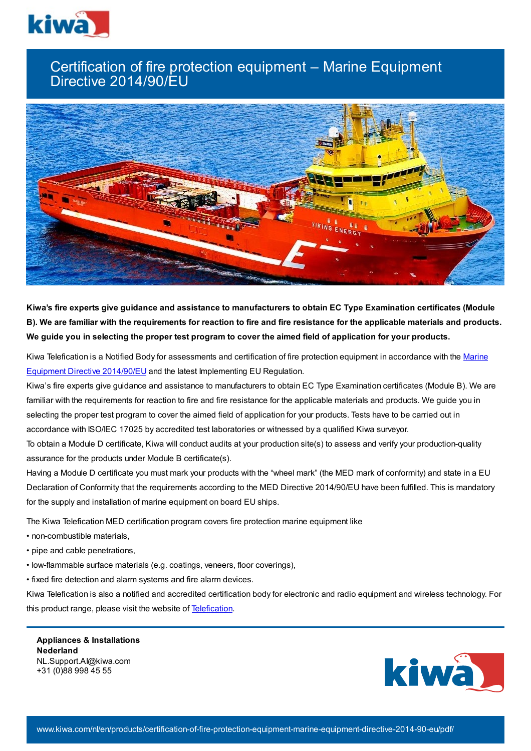

## Certification of fire protection equipment – Marine Equipment Directive 2014/90/EU



Kiwa's fire experts give guidance and assistance to manufacturers to obtain EC Type Examination certificates (Module B). We are familiar with the requirements for reaction to fire and fire resistance for the applicable materials and products. We guide you in selecting the proper test program to cover the aimed field of application for your products.

Kiwa Telefication is a Notified Body for [assessments](https://eur-lex.europa.eu/legal-content/EN/TXT/?uri=CELEX%3A32014L0090) and certification of fire protection equipment in accordance with the Marine Equipment Directive 2014/90/EU and the latest Implementing EU Regulation.

Kiwa's fire experts give guidance and assistance to manufacturers to obtain EC Type Examination certificates (Module B). We are familiar with the requirements for reaction to fire and fire resistance for the applicable materials and products. We guide you in selecting the proper test program to cover the aimed field of application for your products. Tests have to be carried out in accordance with ISO/IEC 17025 by accredited test laboratories or witnessed by a qualified Kiwa surveyor.

To obtain a Module D certificate, Kiwa will conduct audits at your production site(s) to assess and verify your production-quality assurance for the products under Module B certificate(s).

Having a Module D certificate you must mark your products with the "wheel mark" (the MED mark of conformity) and state in a EU Declaration of Conformity that the requirements according to the MED Directive 2014/90/EU have been fulfilled. This is mandatory for the supply and installation of marine equipment on board EU ships.

The Kiwa Telefication MED certification program covers fire protection marine equipment like

- non-combustible materials,
- pipe and cable penetrations,
- low-flammable surface materials (e.g. coatings, veneers, floor coverings),
- fixed fire detection and alarm systems and fire alarm devices.

Kiwa Telefication is also a notified and accredited certification body for electronic and radio equipment and wireless technology. For this product range, please visit the website of [Telefication.](https://www.telefication.com/)

**Appliances & Installations Nederland** NL.Support.AI@kiwa.com +31 (0)88 998 45 55